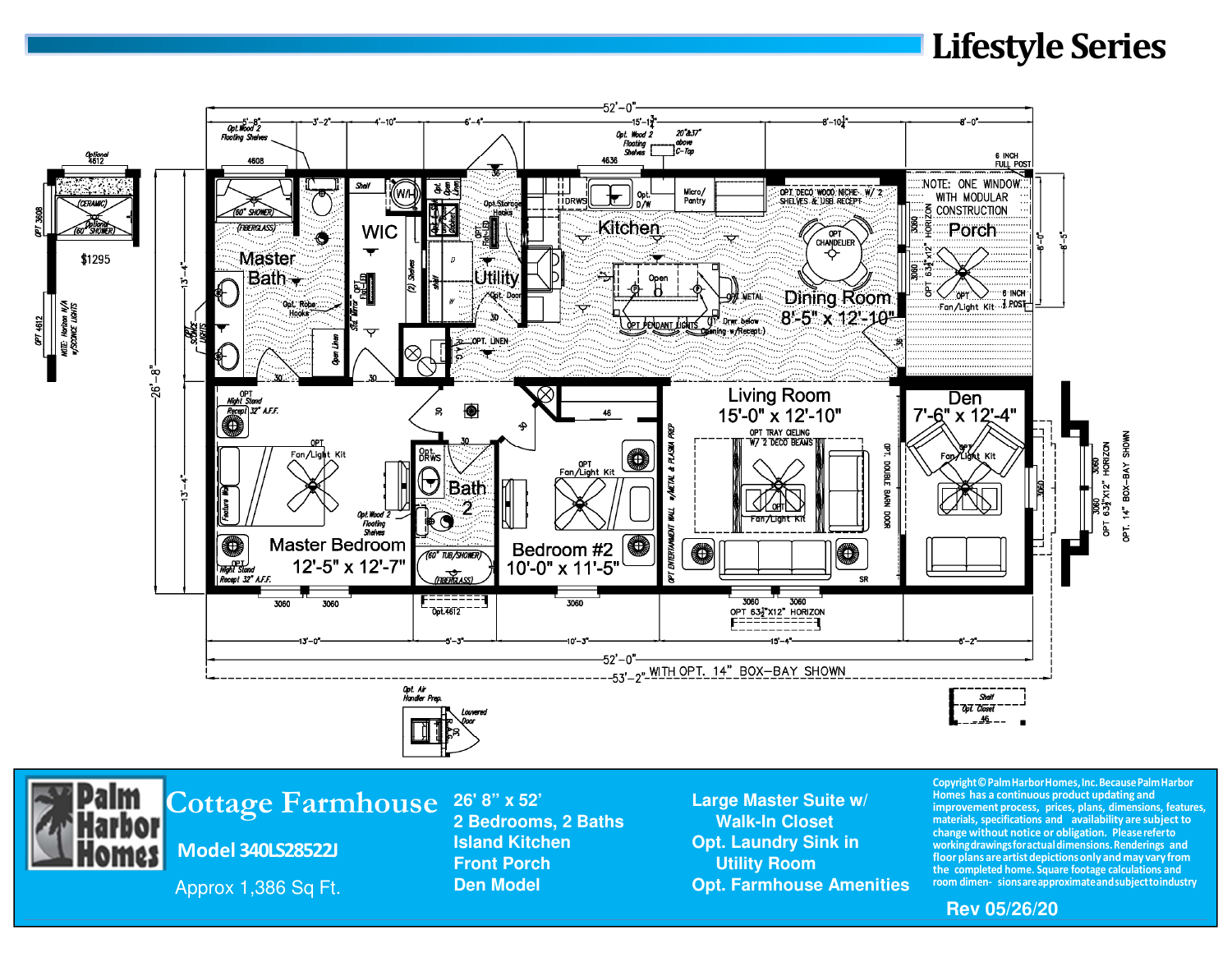## **Lifestyle Series**





## **Cottage Farmhouse**

**Model 340LS28522J**

Approx 1,386 Sq Ft.

**2 Bedrooms, 2 Baths Walk-In Closet Front Porch Communist Communist Porch Porch Porch Porch Porch Porch Porch Porch Porch Porch Porch Porch Porch Porch Porch Porch Porch Porch Porch Porch Porch Porch Porch Porch Porch Porch Porch Porch Porch Porch Porch Por** 

Large Master Suite w/ **Island Kitchen Contract Contract Contract Contract Contract Contract Contract Contract Contract Contract Contract Contract Contract Contract Contract Contract Contract Contract Contract Contract Contract Contract Contract Den Model Communities Communities Communities Communities**  **Copyright © Palm Harbor Homes, Inc. Because Palm Harbor Homes has a continuous product updating and improvement process, prices, plans, dimensions, features, materials, specifications and availability are subject to change without notice or obligation. Please refer to working drawings for actual dimensions. Renderings and floor plans are artist depictions only and may vary from the completed home. Square footage calculations and room dimen- sionsareapproximateandsubjecttoindustry**

**Rev 05/26/20**